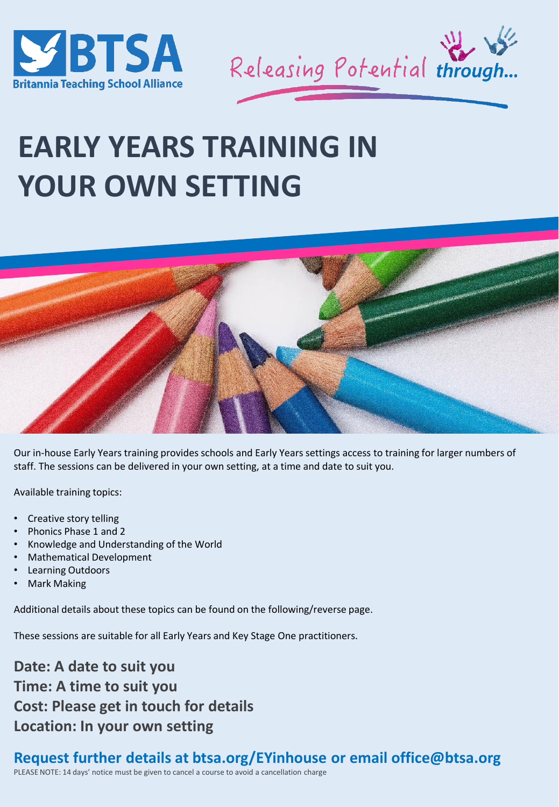



# **EARLY YEARS TRAINING IN YOUR OWN SETTING**



Our in-house Early Years training provides schools and Early Years settings access to training for larger numbers of staff. The sessions can be delivered in your own setting, at a time and date to suit you.

Available training topics:

- Creative story telling
- Phonics Phase 1 and 2
- Knowledge and Understanding of the World
- Mathematical Development
- Learning Outdoors
- Mark Making

Additional details about these topics can be found on the following/reverse page.

These sessions are suitable for all Early Years and Key Stage One practitioners.

**Date: A date to suit you Time: A time to suit you Cost: Please get in touch for details Location: In your own setting**

### **Request further details at btsa.org/EYinhouse or email office@btsa.org**

PLEASE NOTE: 14 days' notice must be given to cancel a course to avoid a cancellation charge